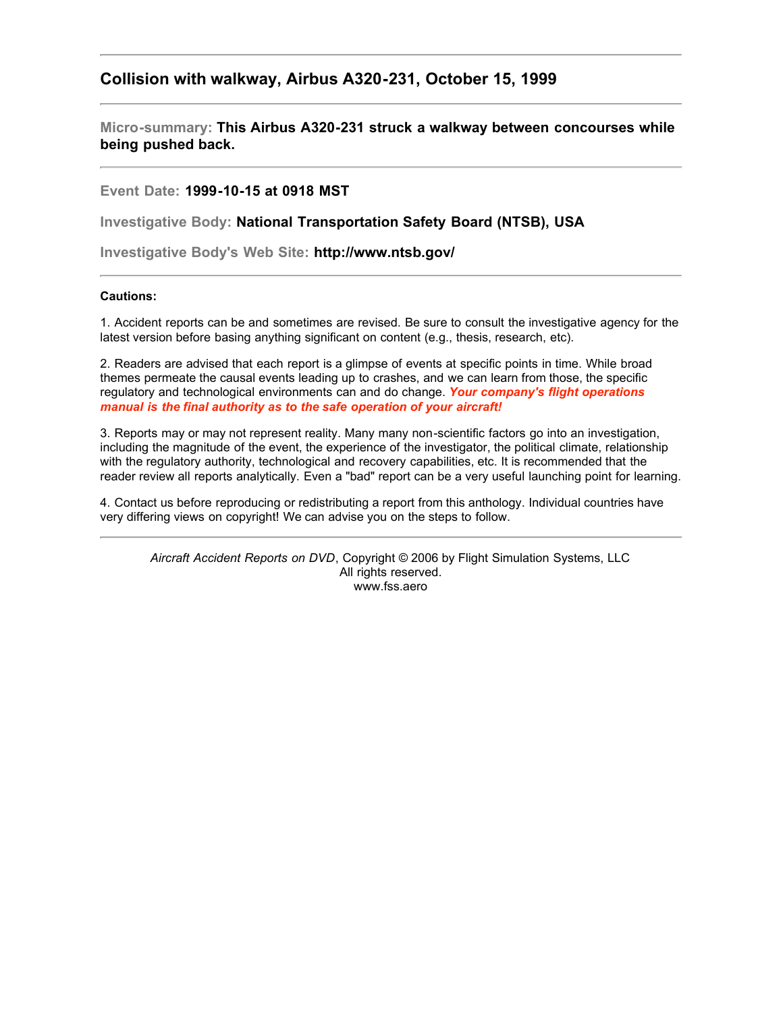## **Collision with walkway, Airbus A320-231, October 15, 1999**

**Micro-summary: This Airbus A320-231 struck a walkway between concourses while being pushed back.**

**Event Date: 1999-10-15 at 0918 MST**

**Investigative Body: National Transportation Safety Board (NTSB), USA**

**Investigative Body's Web Site: http://www.ntsb.gov/**

## **Cautions:**

1. Accident reports can be and sometimes are revised. Be sure to consult the investigative agency for the latest version before basing anything significant on content (e.g., thesis, research, etc).

2. Readers are advised that each report is a glimpse of events at specific points in time. While broad themes permeate the causal events leading up to crashes, and we can learn from those, the specific regulatory and technological environments can and do change. *Your company's flight operations manual is the final authority as to the safe operation of your aircraft!*

3. Reports may or may not represent reality. Many many non-scientific factors go into an investigation, including the magnitude of the event, the experience of the investigator, the political climate, relationship with the regulatory authority, technological and recovery capabilities, etc. It is recommended that the reader review all reports analytically. Even a "bad" report can be a very useful launching point for learning.

4. Contact us before reproducing or redistributing a report from this anthology. Individual countries have very differing views on copyright! We can advise you on the steps to follow.

*Aircraft Accident Reports on DVD*, Copyright © 2006 by Flight Simulation Systems, LLC All rights reserved. www.fss.aero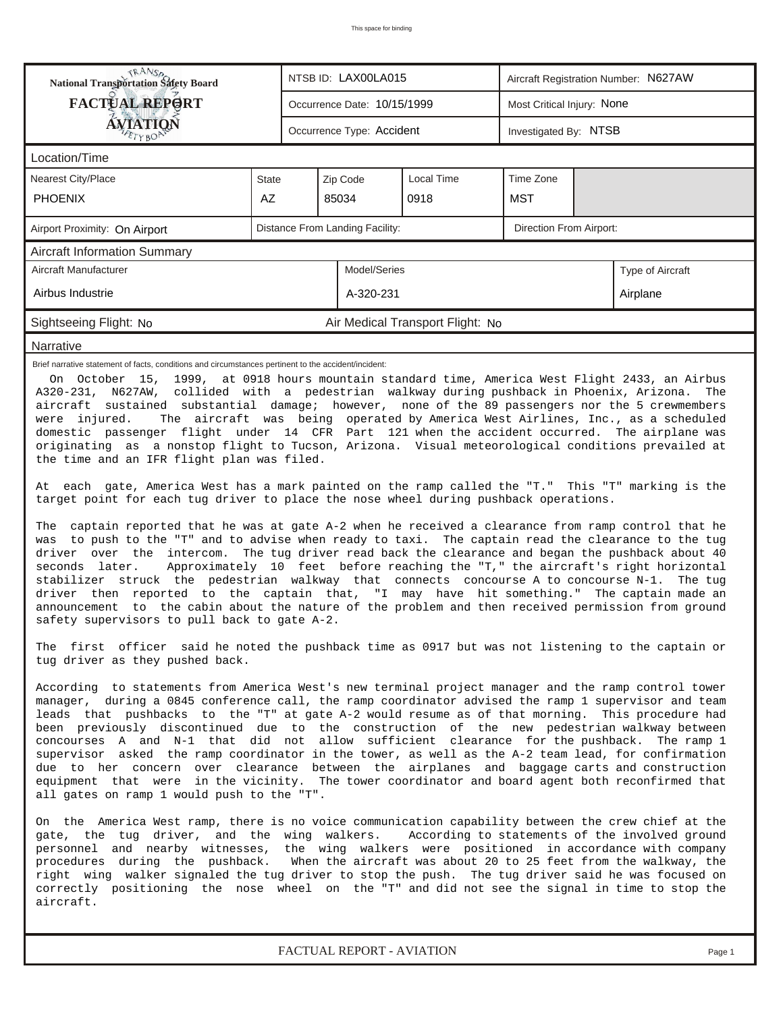| <b>RANS</b><br>National Transportation Safety Board                                                                                                                                                                                                                                                                                                                                                                                                                                                                                                                                                                                                                                                                                                                  |    |                                                            | NTSB ID: LAX00LA015         |                                  | Aircraft Registration Number: N627AW |           |                  |  |  |  |  |
|----------------------------------------------------------------------------------------------------------------------------------------------------------------------------------------------------------------------------------------------------------------------------------------------------------------------------------------------------------------------------------------------------------------------------------------------------------------------------------------------------------------------------------------------------------------------------------------------------------------------------------------------------------------------------------------------------------------------------------------------------------------------|----|------------------------------------------------------------|-----------------------------|----------------------------------|--------------------------------------|-----------|------------------|--|--|--|--|
| <b>FACTUAL REPORT</b>                                                                                                                                                                                                                                                                                                                                                                                                                                                                                                                                                                                                                                                                                                                                                |    |                                                            | Occurrence Date: 10/15/1999 |                                  | Most Critical Injury: None           |           |                  |  |  |  |  |
| <b>ÁVIATION</b><br>ETYBOP                                                                                                                                                                                                                                                                                                                                                                                                                                                                                                                                                                                                                                                                                                                                            |    |                                                            | Occurrence Type: Accident   |                                  | Investigated By: NTSB                |           |                  |  |  |  |  |
| Location/Time                                                                                                                                                                                                                                                                                                                                                                                                                                                                                                                                                                                                                                                                                                                                                        |    |                                                            |                             |                                  |                                      |           |                  |  |  |  |  |
| <b>Nearest City/Place</b><br>Local Time<br><b>State</b><br>Zip Code                                                                                                                                                                                                                                                                                                                                                                                                                                                                                                                                                                                                                                                                                                  |    |                                                            |                             |                                  |                                      | Time Zone |                  |  |  |  |  |
| <b>PHOENIX</b>                                                                                                                                                                                                                                                                                                                                                                                                                                                                                                                                                                                                                                                                                                                                                       | AZ |                                                            | 85034                       | 0918                             | MST                                  |           |                  |  |  |  |  |
| Airport Proximity: On Airport                                                                                                                                                                                                                                                                                                                                                                                                                                                                                                                                                                                                                                                                                                                                        |    | Distance From Landing Facility:<br>Direction From Airport: |                             |                                  |                                      |           |                  |  |  |  |  |
| <b>Aircraft Information Summary</b>                                                                                                                                                                                                                                                                                                                                                                                                                                                                                                                                                                                                                                                                                                                                  |    |                                                            |                             |                                  |                                      |           |                  |  |  |  |  |
| Aircraft Manufacturer                                                                                                                                                                                                                                                                                                                                                                                                                                                                                                                                                                                                                                                                                                                                                |    |                                                            | Model/Series                |                                  |                                      |           | Type of Aircraft |  |  |  |  |
| Airbus Industrie                                                                                                                                                                                                                                                                                                                                                                                                                                                                                                                                                                                                                                                                                                                                                     |    |                                                            | A-320-231                   |                                  |                                      |           | Airplane         |  |  |  |  |
| Sightseeing Flight: No                                                                                                                                                                                                                                                                                                                                                                                                                                                                                                                                                                                                                                                                                                                                               |    |                                                            |                             | Air Medical Transport Flight: No |                                      |           |                  |  |  |  |  |
| Narrative                                                                                                                                                                                                                                                                                                                                                                                                                                                                                                                                                                                                                                                                                                                                                            |    |                                                            |                             |                                  |                                      |           |                  |  |  |  |  |
| A320-231, N627AW, collided with a pedestrian walkway during pushback in Phoenix, Arizona.<br>The<br>aircraft sustained substantial damage; however, none of the 89 passengers nor the 5 crewmembers<br>were injured.<br>The aircraft was being operated by America West Airlines, Inc., as a scheduled<br>domestic passenger flight under 14 CFR Part 121 when the accident occurred. The airplane was<br>originating as a nonstop flight to Tucson, Arizona. Visual meteorological conditions prevailed at<br>the time and an IFR flight plan was filed.<br>At each gate, America West has a mark painted on the ramp called the "T." This "T" marking is the<br>target point for each tug driver to place the nose wheel during pushback operations.               |    |                                                            |                             |                                  |                                      |           |                  |  |  |  |  |
| The captain reported that he was at gate A-2 when he received a clearance from ramp control that he<br>was to push to the "T" and to advise when ready to taxi. The captain read the clearance to the tug<br>driver over the intercom. The tug driver read back the clearance and began the pushback about 40<br>Approximately 10 feet before reaching the "T," the aircraft's right horizontal<br>seconds later.<br>stabilizer struck the pedestrian walkway that connects concourse A to concourse N-1. The tug<br>driver then reported to the captain that, "I may have hit something." The captain made an<br>announcement to the cabin about the nature of the problem and then received permission from ground<br>safety supervisors to pull back to gate A-2. |    |                                                            |                             |                                  |                                      |           |                  |  |  |  |  |
| The first officer said he noted the pushback time as 0917 but was not listening to the captain or<br>tug driver as they pushed back.<br>According to statements from America West's new terminal project manager and the ramp control tower<br>manager, during a 0845 conference call, the ramp coordinator advised the ramp 1 supervisor and team                                                                                                                                                                                                                                                                                                                                                                                                                   |    |                                                            |                             |                                  |                                      |           |                  |  |  |  |  |
| leads that pushbacks to the "T" at gate A-2 would resume as of that morning. This procedure had<br>been previously discontinued due to the construction of the new pedestrian walkway between<br>concourses A and N-1 that did not allow sufficient clearance for the pushback. The ramp 1<br>supervisor asked the ramp coordinator in the tower, as well as the A-2 team lead, for confirmation<br>due to her concern over clearance between the airplanes and baggage carts and construction<br>equipment that were in the vicinity. The tower coordinator and board agent both reconfirmed that<br>all gates on ramp 1 would push to the "T".                                                                                                                     |    |                                                            |                             |                                  |                                      |           |                  |  |  |  |  |
| On the America West ramp, there is no voice communication capability between the crew chief at the<br>gate, the tug driver, and the wing walkers.<br>According to statements of the involved ground<br>personnel and nearby witnesses, the wing walkers were positioned in accordance with company<br>procedures during the pushback. When the aircraft was about 20 to 25 feet from the walkway, the<br>right wing walker signaled the tug driver to stop the push. The tug driver said he was focused on<br>correctly positioning the nose wheel on the "T" and did not see the signal in time to stop the<br>aircraft.                                                                                                                                            |    |                                                            |                             |                                  |                                      |           |                  |  |  |  |  |
| FACTUAL REPORT - AVIATION<br>Page 1                                                                                                                                                                                                                                                                                                                                                                                                                                                                                                                                                                                                                                                                                                                                  |    |                                                            |                             |                                  |                                      |           |                  |  |  |  |  |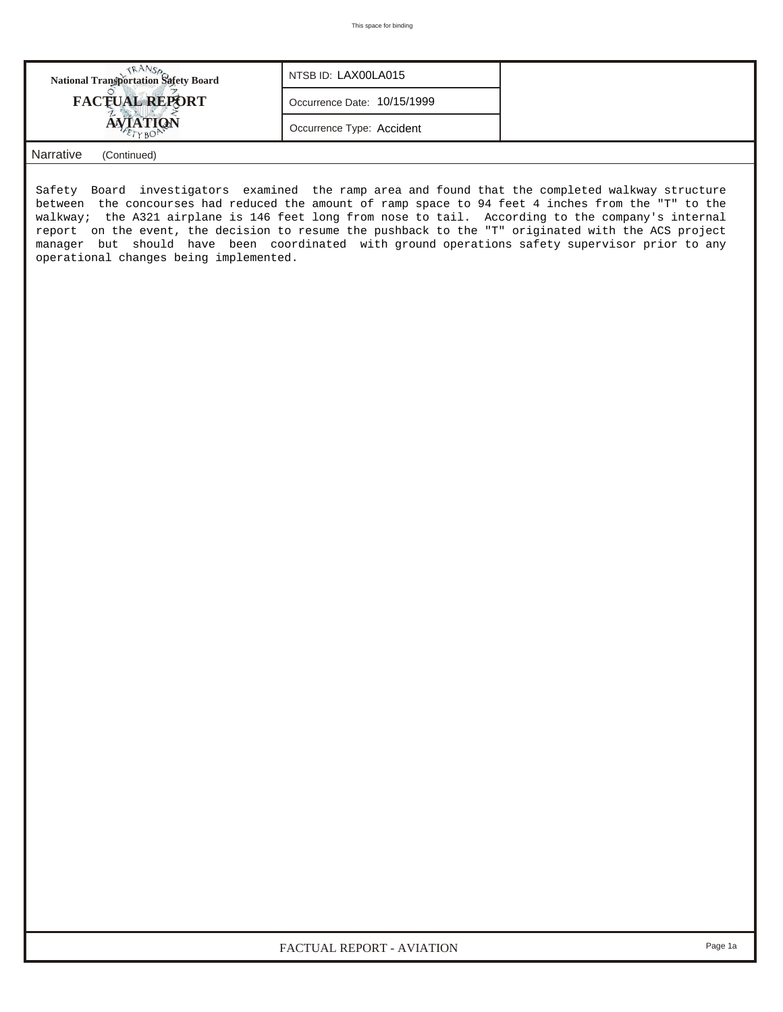| <b>National Transportation Safety Board</b> | NTSB ID: LAX00LA015         |  |
|---------------------------------------------|-----------------------------|--|
| <b>FACTUAL REPORT</b>                       | Occurrence Date: 10/15/1999 |  |
|                                             | Occurrence Type: Accident   |  |
| <b>Narrative</b><br>(Continued)             |                             |  |

Safety Board investigators examined the ramp area and found that the completed walkway structure between the concourses had reduced the amount of ramp space to 94 feet 4 inches from the "T" to the walkway; the A321 airplane is 146 feet long from nose to tail. According to the company's internal report on the event, the decision to resume the pushback to the "T" originated with the ACS project manager but should have been coordinated with ground operations safety supervisor prior to any operational changes being implemented.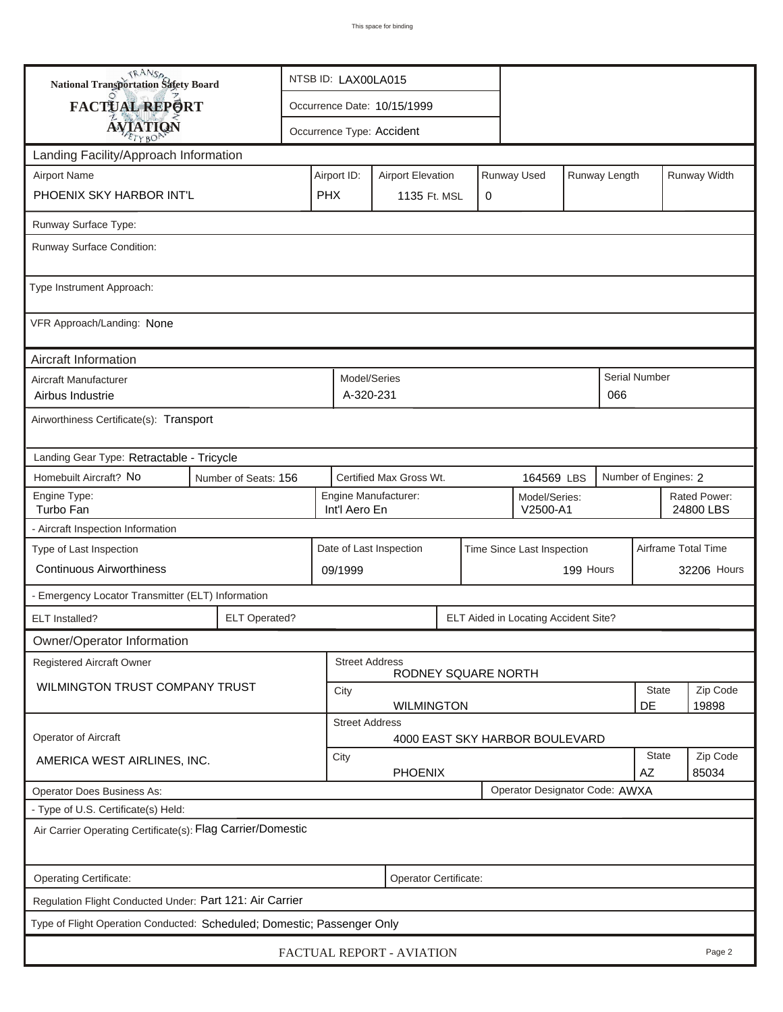| TRANSA<br>National Transportation Safety Board                                          |  | NTSB ID: LAX00LA015                                                |                             |                    |                                      |  |               |                           |                   |  |
|-----------------------------------------------------------------------------------------|--|--------------------------------------------------------------------|-----------------------------|--------------------|--------------------------------------|--|---------------|---------------------------|-------------------|--|
| FACTUAL REPORT                                                                          |  |                                                                    | Occurrence Date: 10/15/1999 |                    |                                      |  |               |                           |                   |  |
| <b>AVIATION</b>                                                                         |  |                                                                    | Occurrence Type: Accident   |                    |                                      |  |               |                           |                   |  |
| Landing Facility/Approach Information                                                   |  |                                                                    |                             |                    |                                      |  |               |                           |                   |  |
| <b>Airport Name</b>                                                                     |  | Airport ID:                                                        | <b>Airport Elevation</b>    |                    | Runway Used                          |  | Runway Length |                           | Runway Width      |  |
| PHOENIX SKY HARBOR INT'L                                                                |  | <b>PHX</b>                                                         | 1135 Ft. MSL                |                    | 0                                    |  |               |                           |                   |  |
| Runway Surface Type:                                                                    |  |                                                                    |                             |                    |                                      |  |               |                           |                   |  |
| Runway Surface Condition:                                                               |  |                                                                    |                             |                    |                                      |  |               |                           |                   |  |
| Type Instrument Approach:                                                               |  |                                                                    |                             |                    |                                      |  |               |                           |                   |  |
| VFR Approach/Landing: None                                                              |  |                                                                    |                             |                    |                                      |  |               |                           |                   |  |
| Aircraft Information                                                                    |  |                                                                    |                             |                    |                                      |  |               |                           |                   |  |
| Aircraft Manufacturer<br>Airbus Industrie                                               |  |                                                                    | Model/Series<br>A-320-231   |                    |                                      |  | 066           | <b>Serial Number</b>      |                   |  |
| Airworthiness Certificate(s): Transport                                                 |  |                                                                    |                             |                    |                                      |  |               |                           |                   |  |
| Landing Gear Type: Retractable - Tricycle                                               |  |                                                                    |                             |                    |                                      |  |               |                           |                   |  |
| Homebuilt Aircraft? No<br>Certified Max Gross Wt.<br>Number of Seats: 156<br>164569 LBS |  |                                                                    |                             |                    |                                      |  |               | Number of Engines: 2      |                   |  |
| Engine Type:<br>Turbo Fan                                                               |  | Engine Manufacturer:<br>Model/Series:<br>Int'l Aero En<br>V2500-A1 |                             |                    |                                      |  |               | Rated Power:<br>24800 LBS |                   |  |
| - Aircraft Inspection Information                                                       |  |                                                                    |                             |                    |                                      |  |               |                           |                   |  |
| Type of Last Inspection<br><b>Continuous Airworthiness</b>                              |  | Date of Last Inspection<br>Time Since Last Inspection              |                             |                    |                                      |  |               | Airframe Total Time       | 32206 Hours       |  |
|                                                                                         |  | 09/1999                                                            | 199 Hours                   |                    |                                      |  |               |                           |                   |  |
| - Emergency Locator Transmitter (ELT) Information                                       |  |                                                                    |                             |                    |                                      |  |               |                           |                   |  |
| <b>ELT Operated?</b><br>ELT Installed?                                                  |  |                                                                    |                             |                    | ELT Aided in Locating Accident Site? |  |               |                           |                   |  |
| Owner/Operator Information                                                              |  |                                                                    | <b>Street Address</b>       |                    |                                      |  |               |                           |                   |  |
| <b>Registered Aircraft Owner</b>                                                        |  |                                                                    |                             |                    | RODNEY SQUARE NORTH                  |  |               |                           |                   |  |
| WILMINGTON TRUST COMPANY TRUST                                                          |  | City                                                               | <b>WILMINGTON</b>           | <b>State</b><br>DE | Zip Code<br>19898                    |  |               |                           |                   |  |
|                                                                                         |  |                                                                    | <b>Street Address</b>       |                    |                                      |  |               |                           |                   |  |
| Operator of Aircraft                                                                    |  |                                                                    |                             |                    | 4000 EAST SKY HARBOR BOULEVARD       |  |               |                           |                   |  |
| AMERICA WEST AIRLINES, INC.                                                             |  | City<br><b>PHOENIX</b>                                             |                             |                    |                                      |  |               | <b>State</b><br>AZ        | Zip Code<br>85034 |  |
| <b>Operator Does Business As:</b>                                                       |  |                                                                    |                             |                    | Operator Designator Code: AWXA       |  |               |                           |                   |  |
| - Type of U.S. Certificate(s) Held:                                                     |  |                                                                    |                             |                    |                                      |  |               |                           |                   |  |
| Air Carrier Operating Certificate(s): Flag Carrier/Domestic                             |  |                                                                    |                             |                    |                                      |  |               |                           |                   |  |
| Operating Certificate:<br>Operator Certificate:                                         |  |                                                                    |                             |                    |                                      |  |               |                           |                   |  |
| Regulation Flight Conducted Under: Part 121: Air Carrier                                |  |                                                                    |                             |                    |                                      |  |               |                           |                   |  |
| Type of Flight Operation Conducted: Scheduled; Domestic; Passenger Only                 |  |                                                                    |                             |                    |                                      |  |               |                           |                   |  |
| FACTUAL REPORT - AVIATION<br>Page 2                                                     |  |                                                                    |                             |                    |                                      |  |               |                           |                   |  |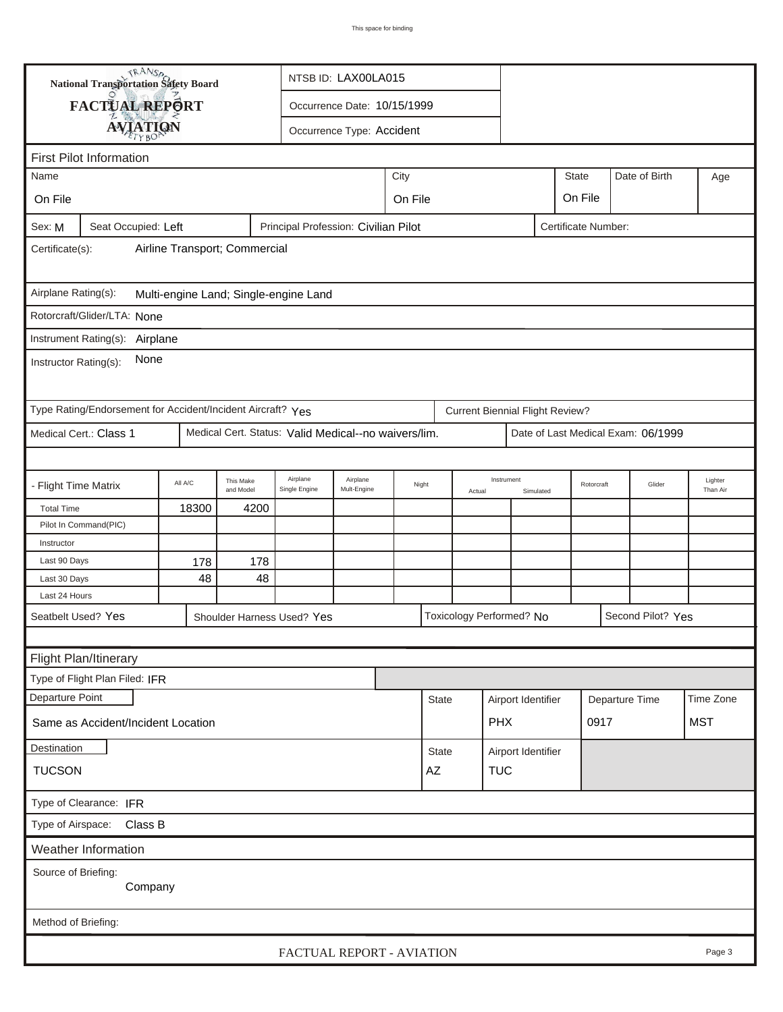| <b>National Transportation Safety Board</b><br>NTSB ID: LAX00LA015 |                                                                                    |         |                        |                                                      |                           |                 |                  |            |                                        |                    |         |                |                                    |            |
|--------------------------------------------------------------------|------------------------------------------------------------------------------------|---------|------------------------|------------------------------------------------------|---------------------------|-----------------|------------------|------------|----------------------------------------|--------------------|---------|----------------|------------------------------------|------------|
|                                                                    | FACTUAL REPORT                                                                     |         |                        |                                                      |                           |                 |                  |            |                                        |                    |         |                |                                    |            |
|                                                                    |                                                                                    |         |                        | Occurrence Date: 10/15/1999                          |                           |                 |                  |            |                                        |                    |         |                |                                    |            |
|                                                                    | <b>AVIATION</b>                                                                    |         |                        |                                                      | Occurrence Type: Accident |                 |                  |            |                                        |                    |         |                |                                    |            |
|                                                                    | <b>First Pilot Information</b>                                                     |         |                        |                                                      |                           |                 |                  |            |                                        |                    |         |                |                                    |            |
| <b>State</b><br>City<br>Name                                       |                                                                                    |         |                        |                                                      |                           |                 |                  |            |                                        | Date of Birth      | Age     |                |                                    |            |
| On File                                                            |                                                                                    |         |                        |                                                      |                           | On File         |                  |            |                                        |                    | On File |                |                                    |            |
| Sex: M                                                             | Principal Profession: Civilian Pilot<br>Seat Occupied: Left<br>Certificate Number: |         |                        |                                                      |                           |                 |                  |            |                                        |                    |         |                |                                    |            |
| Airline Transport; Commercial<br>Certificate(s):                   |                                                                                    |         |                        |                                                      |                           |                 |                  |            |                                        |                    |         |                |                                    |            |
|                                                                    |                                                                                    |         |                        |                                                      |                           |                 |                  |            |                                        |                    |         |                |                                    |            |
| Airplane Rating(s):<br>Multi-engine Land; Single-engine Land       |                                                                                    |         |                        |                                                      |                           |                 |                  |            |                                        |                    |         |                |                                    |            |
|                                                                    | Rotorcraft/Glider/LTA: None                                                        |         |                        |                                                      |                           |                 |                  |            |                                        |                    |         |                |                                    |            |
|                                                                    | Instrument Rating(s): Airplane                                                     |         |                        |                                                      |                           |                 |                  |            |                                        |                    |         |                |                                    |            |
| None<br>Instructor Rating(s):                                      |                                                                                    |         |                        |                                                      |                           |                 |                  |            |                                        |                    |         |                |                                    |            |
|                                                                    | Type Rating/Endorsement for Accident/Incident Aircraft? Yes                        |         |                        |                                                      |                           |                 |                  |            | <b>Current Biennial Flight Review?</b> |                    |         |                |                                    |            |
|                                                                    | Medical Cert.: Class 1                                                             |         |                        | Medical Cert. Status: Valid Medical--no waivers/lim. |                           |                 |                  |            |                                        |                    |         |                | Date of Last Medical Exam: 06/1999 |            |
|                                                                    |                                                                                    |         |                        |                                                      |                           |                 |                  |            |                                        |                    |         |                |                                    |            |
| - Flight Time Matrix                                               |                                                                                    | All A/C | This Make<br>and Model | Airplane<br>Single Engine                            | Airplane<br>Mult-Engine   | Night<br>Actual |                  | Instrument | Simulated                              | Rotorcraft         |         | Glider         | Lighter<br>Than Air                |            |
| <b>Total Time</b>                                                  |                                                                                    | 18300   | 4200                   |                                                      |                           |                 |                  |            |                                        |                    |         |                |                                    |            |
|                                                                    | Pilot In Command(PIC)                                                              |         |                        |                                                      |                           |                 |                  |            |                                        |                    |         |                |                                    |            |
| Instructor                                                         |                                                                                    |         |                        |                                                      |                           |                 |                  |            |                                        |                    |         |                |                                    |            |
| Last 90 Days                                                       |                                                                                    | 178     | 178                    |                                                      |                           |                 |                  |            |                                        |                    |         |                |                                    |            |
| Last 30 Days                                                       |                                                                                    | 48      | 48                     |                                                      |                           |                 |                  |            |                                        |                    |         |                |                                    |            |
| Last 24 Hours                                                      |                                                                                    |         |                        |                                                      |                           |                 |                  |            |                                        |                    |         |                |                                    |            |
| Seatbelt Used? Yes                                                 |                                                                                    |         |                        | Shoulder Harness Used? Yes                           |                           |                 |                  |            | Toxicology Performed? No               |                    |         |                | Second Pilot? Yes                  |            |
|                                                                    |                                                                                    |         |                        |                                                      |                           |                 |                  |            |                                        |                    |         |                |                                    |            |
|                                                                    | Flight Plan/Itinerary                                                              |         |                        |                                                      |                           |                 |                  |            |                                        |                    |         |                |                                    |            |
|                                                                    | Type of Flight Plan Filed: IFR                                                     |         |                        |                                                      |                           |                 |                  |            |                                        |                    |         |                |                                    |            |
| Departure Point                                                    |                                                                                    |         |                        |                                                      |                           |                 | <b>State</b>     |            |                                        | Airport Identifier |         | Departure Time |                                    | Time Zone  |
|                                                                    | Same as Accident/Incident Location                                                 |         |                        |                                                      |                           |                 |                  |            | <b>PHX</b>                             |                    |         | 0917           |                                    | <b>MST</b> |
| Destination                                                        |                                                                                    |         |                        |                                                      |                           |                 | <b>State</b>     |            |                                        | Airport Identifier |         |                |                                    |            |
| <b>TUCSON</b>                                                      |                                                                                    |         |                        |                                                      |                           |                 | <b>TUC</b><br>AZ |            |                                        |                    |         |                |                                    |            |
| Type of Clearance: IFR                                             |                                                                                    |         |                        |                                                      |                           |                 |                  |            |                                        |                    |         |                |                                    |            |
| Type of Airspace: Class B                                          |                                                                                    |         |                        |                                                      |                           |                 |                  |            |                                        |                    |         |                |                                    |            |
| Weather Information                                                |                                                                                    |         |                        |                                                      |                           |                 |                  |            |                                        |                    |         |                |                                    |            |
| Source of Briefing:<br>Company                                     |                                                                                    |         |                        |                                                      |                           |                 |                  |            |                                        |                    |         |                |                                    |            |
| Method of Briefing:                                                |                                                                                    |         |                        |                                                      |                           |                 |                  |            |                                        |                    |         |                |                                    |            |
|                                                                    | FACTUAL REPORT - AVIATION<br>Page 3                                                |         |                        |                                                      |                           |                 |                  |            |                                        |                    |         |                |                                    |            |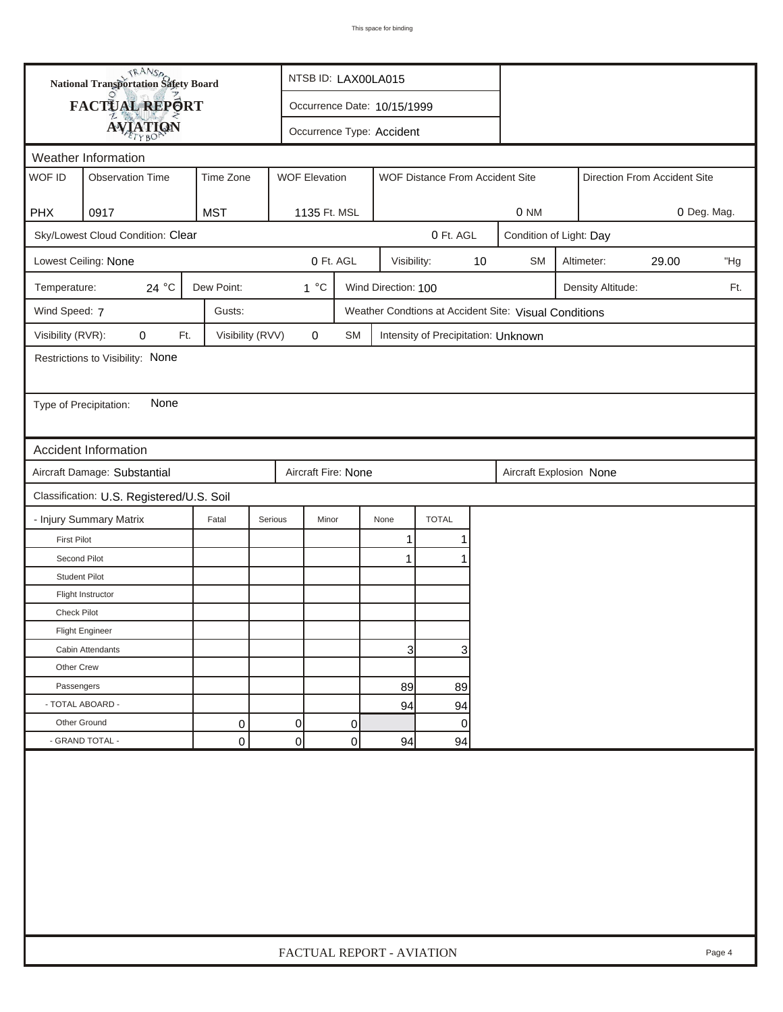| <b>National Transportation Safety Board</b> |                                           |                  |                           | NTSB ID: LAX00LA015       |                             |                                     |    |                                                       |                         |                   |             |        |
|---------------------------------------------|-------------------------------------------|------------------|---------------------------|---------------------------|-----------------------------|-------------------------------------|----|-------------------------------------------------------|-------------------------|-------------------|-------------|--------|
|                                             | FACTUAL REPORT                            |                  |                           |                           | Occurrence Date: 10/15/1999 |                                     |    |                                                       |                         |                   |             |        |
|                                             | <b>AVIATION</b>                           |                  |                           | Occurrence Type: Accident |                             |                                     |    |                                                       |                         |                   |             |        |
|                                             | Weather Information                       |                  |                           |                           |                             |                                     |    |                                                       |                         |                   |             |        |
| WOF ID                                      | <b>Observation Time</b>                   | Time Zone        | <b>WOF Elevation</b>      |                           |                             | WOF Distance From Accident Site     |    | Direction From Accident Site                          |                         |                   |             |        |
|                                             |                                           |                  |                           |                           |                             |                                     |    |                                                       |                         |                   |             |        |
| <b>PHX</b>                                  | 0917                                      | <b>MST</b>       | 1135 Ft. MSL              |                           |                             |                                     |    | 0 NM                                                  |                         |                   | 0 Deg. Mag. |        |
|                                             | Sky/Lowest Cloud Condition: Clear         |                  |                           |                           |                             | 0 Ft. AGL                           |    |                                                       | Condition of Light: Day |                   |             |        |
|                                             | Lowest Ceiling: None                      |                  |                           | 0 Ft. AGL                 | Visibility:                 |                                     | 10 | <b>SM</b><br>Altimeter:<br>29.00                      |                         |                   |             | "Hg    |
| Temperature:                                | 24 °C                                     | Dew Point:       | $1^{\circ}C$              |                           | Wind Direction: 100         |                                     |    |                                                       |                         | Density Altitude: |             | Ft.    |
| Wind Speed: 7                               |                                           | Gusts:           |                           |                           |                             |                                     |    | Weather Condtions at Accident Site: Visual Conditions |                         |                   |             |        |
| Visibility (RVR):                           | 0<br>Ft.                                  | Visibility (RVV) | $\mathbf 0$               | <b>SM</b>                 |                             | Intensity of Precipitation: Unknown |    |                                                       |                         |                   |             |        |
|                                             | Restrictions to Visibility: None          |                  |                           |                           |                             |                                     |    |                                                       |                         |                   |             |        |
|                                             |                                           |                  |                           |                           |                             |                                     |    |                                                       |                         |                   |             |        |
| Type of Precipitation:                      | None                                      |                  |                           |                           |                             |                                     |    |                                                       |                         |                   |             |        |
|                                             |                                           |                  |                           |                           |                             |                                     |    |                                                       |                         |                   |             |        |
|                                             | <b>Accident Information</b>               |                  |                           |                           |                             |                                     |    |                                                       |                         |                   |             |        |
|                                             | Aircraft Damage: Substantial              |                  | Aircraft Fire: None       |                           |                             |                                     |    | Aircraft Explosion None                               |                         |                   |             |        |
|                                             | Classification: U.S. Registered/U.S. Soil |                  |                           |                           |                             |                                     |    |                                                       |                         |                   |             |        |
|                                             | - Injury Summary Matrix                   | Fatal            | Serious<br>Minor          |                           | None                        | <b>TOTAL</b>                        |    |                                                       |                         |                   |             |        |
| <b>First Pilot</b>                          |                                           |                  |                           |                           | 1                           | 1                                   |    |                                                       |                         |                   |             |        |
| Second Pilot                                |                                           |                  |                           |                           | $\mathbf{1}$                | 1                                   |    |                                                       |                         |                   |             |        |
| <b>Student Pilot</b>                        |                                           |                  |                           |                           |                             |                                     |    |                                                       |                         |                   |             |        |
|                                             | Flight Instructor                         |                  |                           |                           |                             |                                     |    |                                                       |                         |                   |             |        |
| <b>Check Pilot</b>                          |                                           |                  |                           |                           |                             |                                     |    |                                                       |                         |                   |             |        |
|                                             | <b>Flight Engineer</b>                    |                  |                           |                           |                             |                                     |    |                                                       |                         |                   |             |        |
|                                             | Cabin Attendants                          |                  |                           |                           | 3                           | 3                                   |    |                                                       |                         |                   |             |        |
| Other Crew                                  |                                           |                  |                           |                           |                             |                                     |    |                                                       |                         |                   |             |        |
| Passengers                                  |                                           |                  |                           |                           | 89                          | 89                                  |    |                                                       |                         |                   |             |        |
| - TOTAL ABOARD -                            |                                           |                  |                           |                           | 94                          | 94                                  |    |                                                       |                         |                   |             |        |
| Other Ground                                |                                           | 0                | 0                         | 0                         |                             | 0                                   |    |                                                       |                         |                   |             |        |
|                                             | - GRAND TOTAL -                           | 0                | $\overline{0}$            | 0                         | 94                          | 94                                  |    |                                                       |                         |                   |             |        |
|                                             |                                           |                  |                           |                           |                             |                                     |    |                                                       |                         |                   |             |        |
|                                             |                                           |                  | FACTUAL REPORT - AVIATION |                           |                             |                                     |    |                                                       |                         |                   |             | Page 4 |